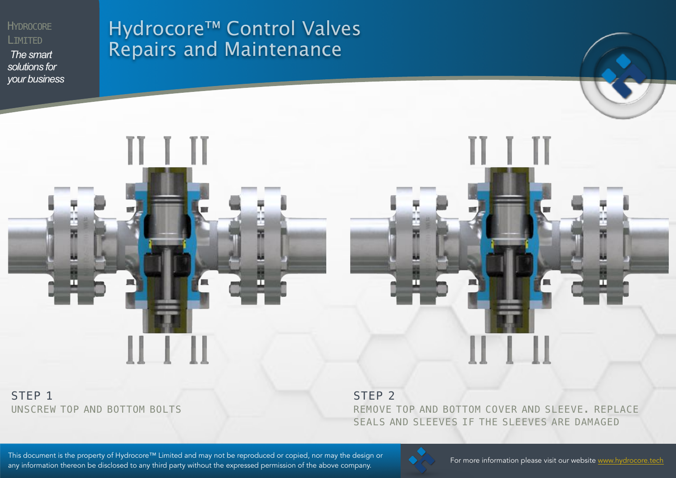**HYDROCORE** LIMITED

*The smart solutions for your business*

# Hydrocore™ Control Valves Repairs and Maintenance

m

#### STEP<sub>1</sub> UNSCREW TOP AND BOTTOM BOLTS

╓

STEP<sub>2</sub>

REMOVE TOP AND BOTTOM COVER AND SLEEVE. REPLACE SEALS AND SLEEVES IF THE SLEEVES ARE DAMAGED

This document is the property of Hydrocore™ Limited and may not be reproduced or copied, nor may the design or<br>This document is the property of Hydrocore tech is the matter of the control of the control of the state www.h any information thereon be disclosed to any third party without the expressed permission of the above company.



m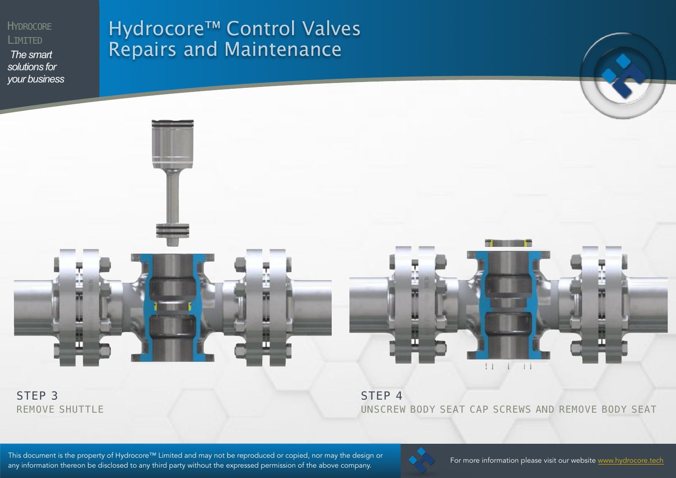**HYDROCORE** LIMITED

*The smart solutions for your business*

## Hydrocore™ Control Valves Repairs and Maintenance





STEP 3 REMOVE SHUTTLE STEP<sub>4</sub> UNSCREW BODY SEAT CAP SCREWS AND REMOVE BODY SEAT

This document is the property of Hydrocore™ Limited and may not be reproduced or copied, nor may the design or<br>This document is the property of Hydrocore tech is the matter of the control of the control of the state www.h any information thereon be disclosed to any third party without the expressed permission of the above company.